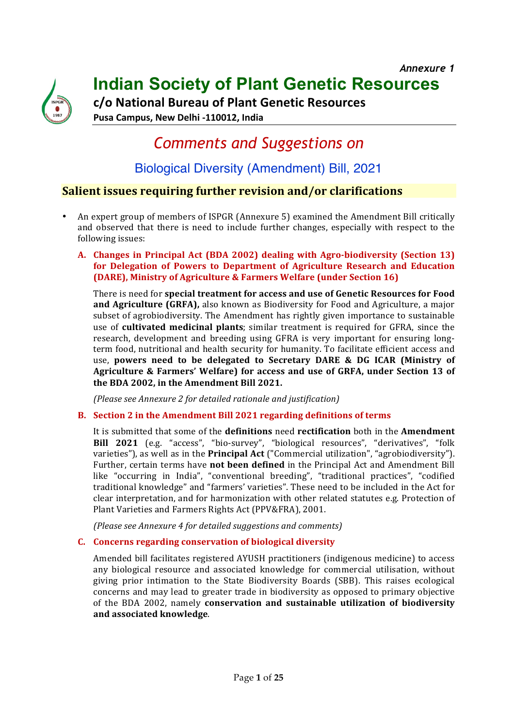

**Indian Society of Plant Genetic Resources**

**c/o National Bureau of Plant Genetic Resources**

Pusa Campus, New Delhi -110012, India

# *Comments and Suggestions on*

### Biological Diversity (Amendment) Bill, 2021

### **Salient issues requiring further revision and/or clarifications**

- An expert group of members of ISPGR (Annexure 5) examined the Amendment Bill critically and observed that there is need to include further changes, especially with respect to the following issues:
	- A. Changes in Principal Act (BDA 2002) dealing with Agro-biodiversity (Section 13) **for Delegation of Powers to Department of Agriculture Research and Education (DARE), Ministry of Agriculture & Farmers Welfare (under Section 16)**

There is need for **special treatment for access and use of Genetic Resources for Food and Agriculture (GRFA),** also known as Biodiversity for Food and Agriculture, a major subset of agrobiodiversity. The Amendment has rightly given importance to sustainable use of **cultivated medicinal plants**; similar treatment is required for GFRA, since the research, development and breeding using GFRA is very important for ensuring longterm food, nutritional and health security for humanity. To facilitate efficient access and use, powers need to be delegated to Secretary DARE & DG ICAR (Ministry of Agriculture & Farmers' Welfare) for access and use of GRFA, under Section 13 of the BDA 2002, in the Amendment Bill 2021.

*(Please see Annexure 2 for detailed rationale and justification)*

### **B. Section 2 in the Amendment Bill 2021 regarding definitions of terms**

It is submitted that some of the **definitions** need **rectification** both in the **Amendment** Bill 2021 (e.g. "access", "bio-survey", "biological resources", "derivatives", "folk varieties"), as well as in the **Principal Act** ("Commercial utilization", "agrobiodiversity"). Further, certain terms have **not been defined** in the Principal Act and Amendment Bill like "occurring in India", "conventional breeding", "traditional practices", "codified traditional knowledge" and "farmers' varieties". These need to be included in the Act for clear interpretation, and for harmonization with other related statutes e.g. Protection of Plant Varieties and Farmers Rights Act (PPV&FRA), 2001.

*(Please see Annexure 4 for detailed suggestions and comments)*

### **C. Concerns regarding conservation of biological diversity**

Amended bill facilitates registered AYUSH practitioners (indigenous medicine) to access any biological resource and associated knowledge for commercial utilisation, without giving prior intimation to the State Biodiversity Boards (SBB). This raises ecological concerns and may lead to greater trade in biodiversity as opposed to primary objective of the BDA 2002, namely **conservation and sustainable utilization of biodiversity and associated knowledge**.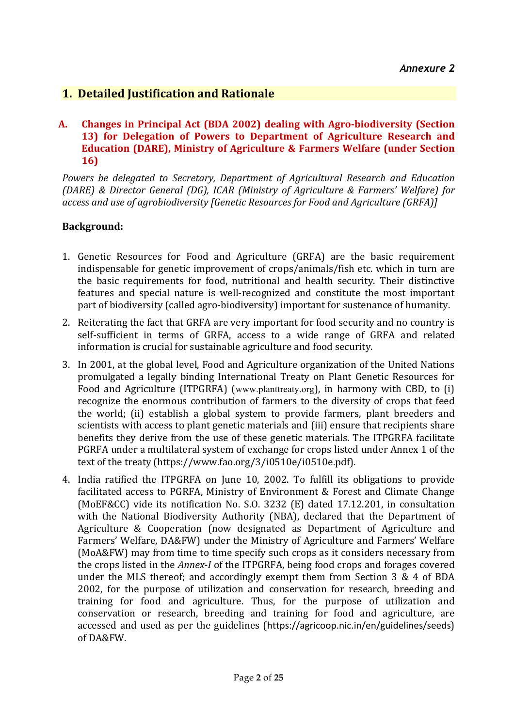### **1. Detailed Justification and Rationale**

### A. Changes in Principal Act (BDA 2002) dealing with Agro-biodiversity (Section **13)** for Delegation of Powers to Department of Agriculture Research and **Education (DARE), Ministry of Agriculture & Farmers Welfare (under Section 16)**

Powers be delegated to Secretary, Department of Agricultural Research and Education *(DARE) & Director General (DG), ICAR (Ministry of Agriculture & Farmers' Welfare) for access and use of agrobiodiversity [Genetic Resources for Food and Agriculture (GRFA)]* 

### **Background:**

- 1. Genetic Resources for Food and Agriculture (GRFA) are the basic requirement indispensable for genetic improvement of crops/animals/fish etc. which in turn are the basic requirements for food, nutritional and health security. Their distinctive features and special nature is well-recognized and constitute the most important part of biodiversity (called agro-biodiversity) important for sustenance of humanity.
- 2. Reiterating the fact that GRFA are very important for food security and no country is self-sufficient in terms of GRFA, access to a wide range of GRFA and related information is crucial for sustainable agriculture and food security.
- 3. In 2001, at the global level, Food and Agriculture organization of the United Nations promulgated a legally binding International Treaty on Plant Genetic Resources for Food and Agriculture (ITPGRFA) (www.planttreaty.org), in harmony with CBD, to (i) recognize the enormous contribution of farmers to the diversity of crops that feed the world; (ii) establish a global system to provide farmers, plant breeders and scientists with access to plant genetic materials and (iii) ensure that recipients share benefits they derive from the use of these genetic materials. The ITPGRFA facilitate PGRFA under a multilateral system of exchange for crops listed under Annex 1 of the text of the treaty (https://www.fao.org/3/i0510e/i0510e.pdf).
- 4. India ratified the ITPGRFA on June 10, 2002. To fulfill its obligations to provide facilitated access to PGRFA, Ministry of Environment & Forest and Climate Change (MoEF&CC) vide its notification No. S.O. 3232 (E) dated  $17.12.201$ , in consultation with the National Biodiversity Authority (NBA), declared that the Department of Agriculture & Cooperation (now designated as Department of Agriculture and Farmers' Welfare, DA&FW) under the Ministry of Agriculture and Farmers' Welfare (MoA&FW) may from time to time specify such crops as it considers necessary from the crops listed in the *Annex-I* of the ITPGRFA, being food crops and forages covered under the MLS thereof; and accordingly exempt them from Section  $3 \& 4$  of BDA 2002, for the purpose of utilization and conservation for research, breeding and training for food and agriculture. Thus, for the purpose of utilization and conservation or research, breeding and training for food and agriculture, are accessed and used as per the guidelines (https://agricoop.nic.in/en/guidelines/seeds) of DA&FW.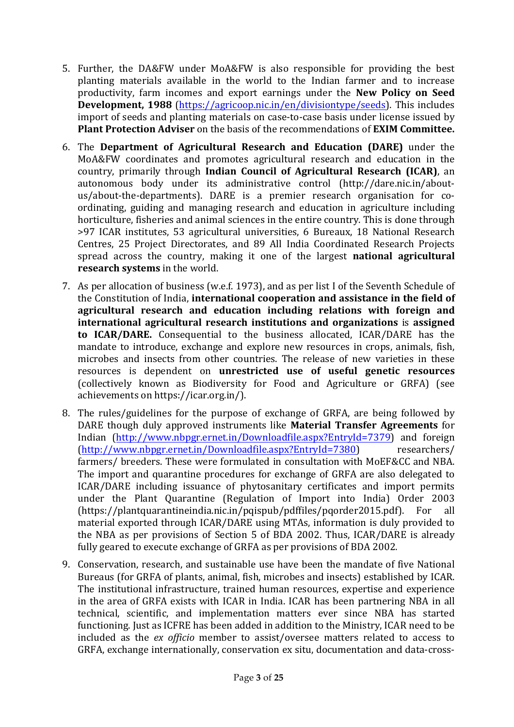- 5. Further, the DA&FW under MoA&FW is also responsible for providing the best planting materials available in the world to the Indian farmer and to increase productivity, farm incomes and export earnings under the **New Policy on Seed Development, 1988** (https://agricoop.nic.in/en/divisiontype/seeds). This includes import of seeds and planting materials on case-to-case basis under license issued by **Plant Protection Adviser** on the basis of the recommendations of **EXIM Committee.**
- 6. The **Department of Agricultural Research and Education (DARE)** under the MoA&FW coordinates and promotes agricultural research and education in the country, primarily through **Indian Council of Agricultural Research (ICAR)**, an autonomous body under its administrative control (http://dare.nic.in/aboutus/about-the-departments). DARE is a premier research organisation for coordinating, guiding and managing research and education in agriculture including horticulture, fisheries and animal sciences in the entire country. This is done through >97 ICAR institutes, 53 agricultural universities, 6 Bureaux, 18 National Research Centres, 25 Project Directorates, and 89 All India Coordinated Research Projects spread across the country, making it one of the largest **national agricultural research systems** in the world.
- 7. As per allocation of business (w.e.f. 1973), and as per list I of the Seventh Schedule of the Constitution of India, international cooperation and assistance in the field of agricultural research and education including relations with foreign and **international agricultural research institutions and organizations is assigned to ICAR/DARE.** Consequential to the business allocated, ICAR/DARE has the mandate to introduce, exchange and explore new resources in crops, animals, fish, microbes and insects from other countries. The release of new varieties in these resources is dependent on **unrestricted use of useful genetic resources** (collectively known as Biodiversity for Food and Agriculture or GRFA) (see achievements on https://icar.org.in/).
- 8. The rules/guidelines for the purpose of exchange of GRFA, are being followed by DARE though duly approved instruments like **Material Transfer Agreements** for Indian (http://www.nbpgr.ernet.in/Downloadfile.aspx?EntryId=7379) and foreign (http://www.nbpgr.ernet.in/Downloadfile.aspx?EntryId=7380) researchers/ farmers/ breeders. These were formulated in consultation with MoEF&CC and NBA. The import and quarantine procedures for exchange of GRFA are also delegated to ICAR/DARE including issuance of phytosanitary certificates and import permits under the Plant Quarantine (Regulation of Import into India) Order 2003 (https://plantquarantineindia.nic.in/pqispub/pdffiles/pqorder2015.pdf). For all material exported through ICAR/DARE using MTAs, information is duly provided to the NBA as per provisions of Section 5 of BDA 2002. Thus,  $ICAR/DARE$  is already fully geared to execute exchange of GRFA as per provisions of BDA 2002.
- 9. Conservation, research, and sustainable use have been the mandate of five National Bureaus (for GRFA of plants, animal, fish, microbes and insects) established by ICAR. The institutional infrastructure, trained human resources, expertise and experience in the area of GRFA exists with ICAR in India. ICAR has been partnering NBA in all technical, scientific, and implementation matters ever since NBA has started functioning. Just as ICFRE has been added in addition to the Ministry, ICAR need to be included as the *ex officio* member to assist/oversee matters related to access to GRFA, exchange internationally, conservation ex situ, documentation and data-cross-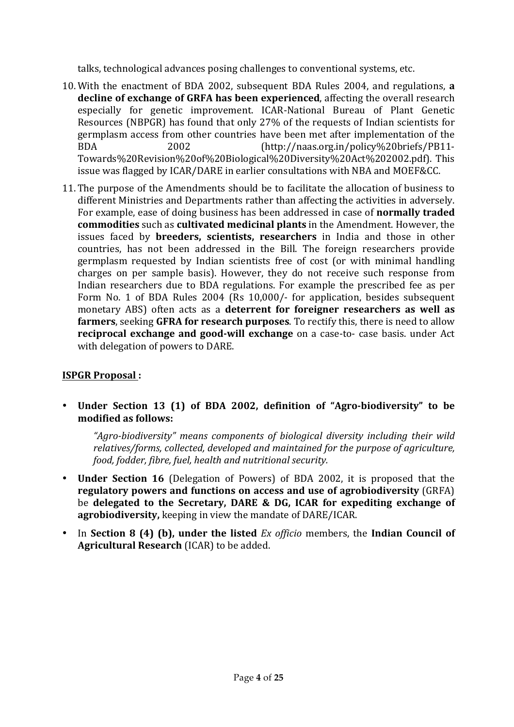talks, technological advances posing challenges to conventional systems, etc.

- 10. With the enactment of BDA 2002, subsequent BDA Rules 2004, and regulations, a **decline of exchange of GRFA has been experienced**, affecting the overall research especially for genetic improvement. ICAR-National Bureau of Plant Genetic Resources (NBPGR) has found that only  $27\%$  of the requests of Indian scientists for germplasm access from other countries have been met after implementation of the BDA 2002 (http://naas.org.in/policy%20briefs/PB11-Towards%20Revision%20of%20Biological%20Diversity%20Act%202002.pdf). This issue was flagged by ICAR/DARE in earlier consultations with NBA and MOEF&CC.
- 11. The purpose of the Amendments should be to facilitate the allocation of business to different Ministries and Departments rather than affecting the activities in adversely. For example, ease of doing business has been addressed in case of **normally traded commodities** such as **cultivated medicinal plants** in the Amendment. However, the issues faced by **breeders, scientists, researchers** in India and those in other countries, has not been addressed in the Bill. The foreign researchers provide germplasm requested by Indian scientists free of cost (or with minimal handling charges on per sample basis). However, they do not receive such response from Indian researchers due to BDA regulations. For example the prescribed fee as per Form No. 1 of BDA Rules 2004 (Rs 10,000/- for application, besides subsequent monetary ABS) often acts as a **deterrent for foreigner researchers as well as farmers**, seeking GFRA for research purposes. To rectify this, there is need to allow **reciprocal exchange and good-will exchange** on a case-to- case basis. under Act with delegation of powers to DARE.

### **ISPGR Proposal :**

• Under Section 13 (1) of BDA 2002, definition of "Agro-biodiversity" to be modified as follows:

"Agro-biodiversity" means components of biological diversity including their wild relatives/forms, collected, developed and maintained for the purpose of agriculture, *food, fodder, fibre, fuel, health and nutritional security.* 

- **Under Section 16** (Delegation of Powers) of BDA 2002, it is proposed that the **regulatory powers and functions on access and use of agrobiodiversity** (GRFA) be delegated to the Secretary, DARE & DG, ICAR for expediting exchange of **agrobiodiversity,** keeping in view the mandate of DARE/ICAR.
- In Section 8 (4) (b), under the listed *Ex officio* members, the Indian Council of **Agricultural Research** (ICAR) to be added.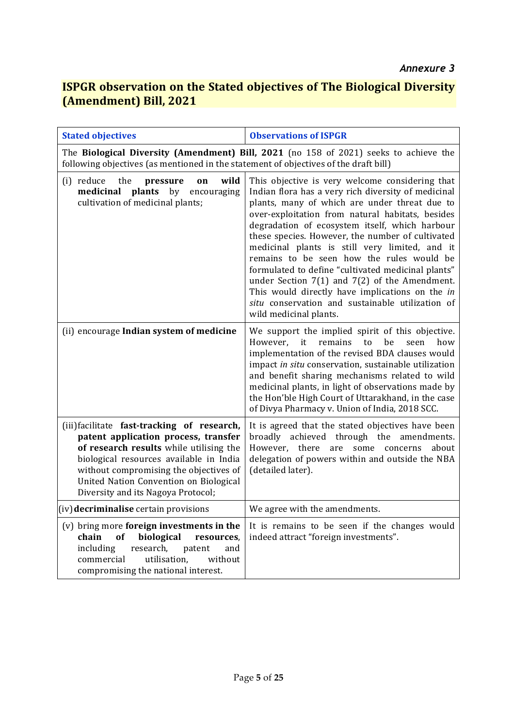### **ISPGR observation on the Stated objectives of The Biological Diversity (Amendment) Bill, 2021**

| <b>Stated objectives</b>                                                                                                                                                                                                                                                                            | <b>Observations of ISPGR</b>                                                                                                                                                                                                                                                                                                                                                                                                                                                                                                                                                                                                                                 |
|-----------------------------------------------------------------------------------------------------------------------------------------------------------------------------------------------------------------------------------------------------------------------------------------------------|--------------------------------------------------------------------------------------------------------------------------------------------------------------------------------------------------------------------------------------------------------------------------------------------------------------------------------------------------------------------------------------------------------------------------------------------------------------------------------------------------------------------------------------------------------------------------------------------------------------------------------------------------------------|
| following objectives (as mentioned in the statement of objectives of the draft bill)                                                                                                                                                                                                                | The Biological Diversity (Amendment) Bill, 2021 (no 158 of 2021) seeks to achieve the                                                                                                                                                                                                                                                                                                                                                                                                                                                                                                                                                                        |
| (i) reduce<br>the<br>wild<br>pressure<br>on<br>plants<br>medicinal<br>by<br>encouraging<br>cultivation of medicinal plants;                                                                                                                                                                         | This objective is very welcome considering that<br>Indian flora has a very rich diversity of medicinal<br>plants, many of which are under threat due to<br>over-exploitation from natural habitats, besides<br>degradation of ecosystem itself, which harbour<br>these species. However, the number of cultivated<br>medicinal plants is still very limited, and it<br>remains to be seen how the rules would be<br>formulated to define "cultivated medicinal plants"<br>under Section $7(1)$ and $7(2)$ of the Amendment.<br>This would directly have implications on the in<br>situ conservation and sustainable utilization of<br>wild medicinal plants. |
| (ii) encourage Indian system of medicine                                                                                                                                                                                                                                                            | We support the implied spirit of this objective.<br>be<br>remains<br>However,<br>it<br>to<br>seen<br>how<br>implementation of the revised BDA clauses would<br>impact in situ conservation, sustainable utilization<br>and benefit sharing mechanisms related to wild<br>medicinal plants, in light of observations made by<br>the Hon'ble High Court of Uttarakhand, in the case<br>of Divya Pharmacy v. Union of India, 2018 SCC.                                                                                                                                                                                                                          |
| (iii) facilitate fast-tracking of research,<br>patent application process, transfer<br>of research results while utilising the<br>biological resources available in India<br>without compromising the objectives of<br>United Nation Convention on Biological<br>Diversity and its Nagoya Protocol; | It is agreed that the stated objectives have been<br>broadly achieved through the amendments.<br>However,<br>there<br>some<br>concerns<br>are<br>about<br>delegation of powers within and outside the NBA<br>(detailed later).                                                                                                                                                                                                                                                                                                                                                                                                                               |
| (iv) decriminalise certain provisions                                                                                                                                                                                                                                                               | We agree with the amendments.                                                                                                                                                                                                                                                                                                                                                                                                                                                                                                                                                                                                                                |
| (v) bring more foreign investments in the<br>biological<br>chain<br>of<br>resources,<br>including<br>research.<br>patent<br>and<br>commercial<br>utilisation,<br>without<br>compromising the national interest.                                                                                     | It is remains to be seen if the changes would<br>indeed attract "foreign investments".                                                                                                                                                                                                                                                                                                                                                                                                                                                                                                                                                                       |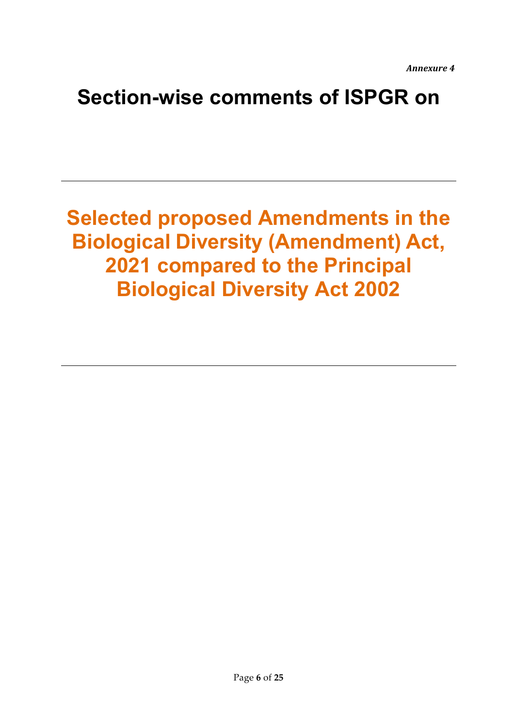*Annexure 4*

# **Section-wise comments of ISPGR on**

**Selected proposed Amendments in the Biological Diversity (Amendment) Act, 2021 compared to the Principal Biological Diversity Act 2002**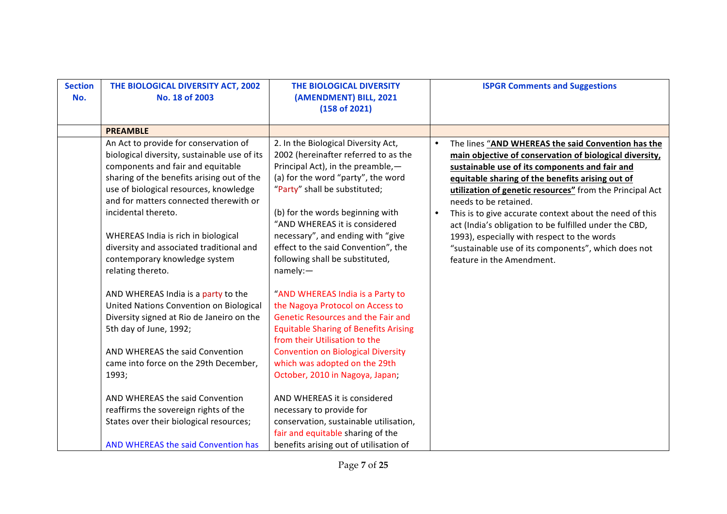| <b>Section</b><br>No. | THE BIOLOGICAL DIVERSITY ACT, 2002<br>No. 18 of 2003                                                                                                                                                                                                                                                                                                                                                                                                                                                                                                                                                                                                                                                          | THE BIOLOGICAL DIVERSITY<br>(AMENDMENT) BILL, 2021<br>(158 of 2021)                                                                                                                                                                                                                                                                                                                                                                                                                                                                                                                                                                                                                                                                           | <b>ISPGR Comments and Suggestions</b>                                                                                                                                                                                                                                                                                                                                                                                                                                                                                                                                                      |
|-----------------------|---------------------------------------------------------------------------------------------------------------------------------------------------------------------------------------------------------------------------------------------------------------------------------------------------------------------------------------------------------------------------------------------------------------------------------------------------------------------------------------------------------------------------------------------------------------------------------------------------------------------------------------------------------------------------------------------------------------|-----------------------------------------------------------------------------------------------------------------------------------------------------------------------------------------------------------------------------------------------------------------------------------------------------------------------------------------------------------------------------------------------------------------------------------------------------------------------------------------------------------------------------------------------------------------------------------------------------------------------------------------------------------------------------------------------------------------------------------------------|--------------------------------------------------------------------------------------------------------------------------------------------------------------------------------------------------------------------------------------------------------------------------------------------------------------------------------------------------------------------------------------------------------------------------------------------------------------------------------------------------------------------------------------------------------------------------------------------|
|                       | <b>PREAMBLE</b>                                                                                                                                                                                                                                                                                                                                                                                                                                                                                                                                                                                                                                                                                               |                                                                                                                                                                                                                                                                                                                                                                                                                                                                                                                                                                                                                                                                                                                                               |                                                                                                                                                                                                                                                                                                                                                                                                                                                                                                                                                                                            |
|                       | An Act to provide for conservation of<br>biological diversity, sustainable use of its<br>components and fair and equitable<br>sharing of the benefits arising out of the<br>use of biological resources, knowledge<br>and for matters connected therewith or<br>incidental thereto.<br>WHEREAS India is rich in biological<br>diversity and associated traditional and<br>contemporary knowledge system<br>relating thereto.<br>AND WHEREAS India is a party to the<br>United Nations Convention on Biological<br>Diversity signed at Rio de Janeiro on the<br>5th day of June, 1992;<br>AND WHEREAS the said Convention<br>came into force on the 29th December,<br>1993;<br>AND WHEREAS the said Convention | 2. In the Biological Diversity Act,<br>2002 (hereinafter referred to as the<br>Principal Act), in the preamble,-<br>(a) for the word "party", the word<br>"Party" shall be substituted;<br>(b) for the words beginning with<br>"AND WHEREAS it is considered<br>necessary", and ending with "give<br>effect to the said Convention", the<br>following shall be substituted,<br>namely:<br>"AND WHEREAS India is a Party to<br>the Nagoya Protocol on Access to<br><b>Genetic Resources and the Fair and</b><br><b>Equitable Sharing of Benefits Arising</b><br>from their Utilisation to the<br><b>Convention on Biological Diversity</b><br>which was adopted on the 29th<br>October, 2010 in Nagoya, Japan;<br>AND WHEREAS it is considered | The lines "AND WHEREAS the said Convention has the<br>$\bullet$<br>main objective of conservation of biological diversity,<br>sustainable use of its components and fair and<br>equitable sharing of the benefits arising out of<br>utilization of genetic resources" from the Principal Act<br>needs to be retained.<br>This is to give accurate context about the need of this<br>$\bullet$<br>act (India's obligation to be fulfilled under the CBD,<br>1993), especially with respect to the words<br>"sustainable use of its components", which does not<br>feature in the Amendment. |
|                       | reaffirms the sovereign rights of the                                                                                                                                                                                                                                                                                                                                                                                                                                                                                                                                                                                                                                                                         | necessary to provide for                                                                                                                                                                                                                                                                                                                                                                                                                                                                                                                                                                                                                                                                                                                      |                                                                                                                                                                                                                                                                                                                                                                                                                                                                                                                                                                                            |
|                       | States over their biological resources;                                                                                                                                                                                                                                                                                                                                                                                                                                                                                                                                                                                                                                                                       | conservation, sustainable utilisation,<br>fair and equitable sharing of the                                                                                                                                                                                                                                                                                                                                                                                                                                                                                                                                                                                                                                                                   |                                                                                                                                                                                                                                                                                                                                                                                                                                                                                                                                                                                            |
|                       | AND WHEREAS the said Convention has                                                                                                                                                                                                                                                                                                                                                                                                                                                                                                                                                                                                                                                                           | benefits arising out of utilisation of                                                                                                                                                                                                                                                                                                                                                                                                                                                                                                                                                                                                                                                                                                        |                                                                                                                                                                                                                                                                                                                                                                                                                                                                                                                                                                                            |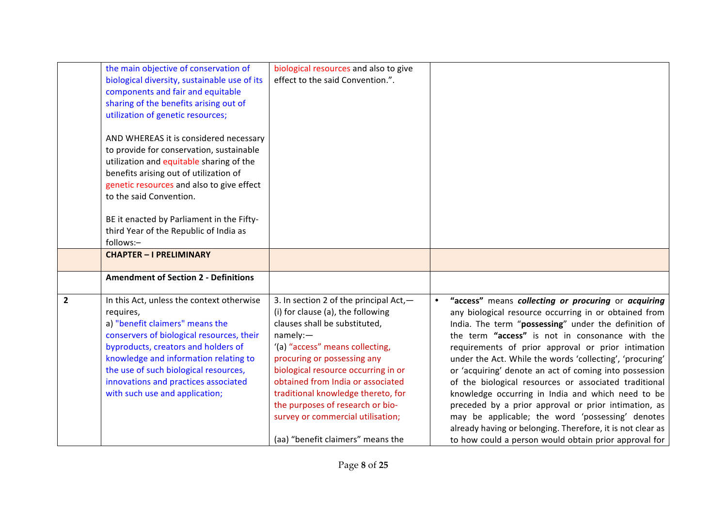| biological resources and also to give  |                                                                                                                                                                                                                                                                                                                                            |
|----------------------------------------|--------------------------------------------------------------------------------------------------------------------------------------------------------------------------------------------------------------------------------------------------------------------------------------------------------------------------------------------|
|                                        |                                                                                                                                                                                                                                                                                                                                            |
|                                        |                                                                                                                                                                                                                                                                                                                                            |
|                                        |                                                                                                                                                                                                                                                                                                                                            |
|                                        |                                                                                                                                                                                                                                                                                                                                            |
|                                        |                                                                                                                                                                                                                                                                                                                                            |
|                                        |                                                                                                                                                                                                                                                                                                                                            |
|                                        |                                                                                                                                                                                                                                                                                                                                            |
|                                        |                                                                                                                                                                                                                                                                                                                                            |
|                                        |                                                                                                                                                                                                                                                                                                                                            |
|                                        |                                                                                                                                                                                                                                                                                                                                            |
|                                        |                                                                                                                                                                                                                                                                                                                                            |
|                                        |                                                                                                                                                                                                                                                                                                                                            |
|                                        |                                                                                                                                                                                                                                                                                                                                            |
|                                        |                                                                                                                                                                                                                                                                                                                                            |
|                                        |                                                                                                                                                                                                                                                                                                                                            |
|                                        |                                                                                                                                                                                                                                                                                                                                            |
| 3. In section 2 of the principal Act,- | "access" means collecting or procuring or acquiring<br>$\bullet$                                                                                                                                                                                                                                                                           |
| (i) for clause (a), the following      | any biological resource occurring in or obtained from                                                                                                                                                                                                                                                                                      |
|                                        | India. The term "possessing" under the definition of                                                                                                                                                                                                                                                                                       |
|                                        | the term "access" is not in consonance with the                                                                                                                                                                                                                                                                                            |
|                                        | requirements of prior approval or prior intimation                                                                                                                                                                                                                                                                                         |
|                                        | under the Act. While the words 'collecting', 'procuring'                                                                                                                                                                                                                                                                                   |
|                                        | or 'acquiring' denote an act of coming into possession                                                                                                                                                                                                                                                                                     |
|                                        | of the biological resources or associated traditional                                                                                                                                                                                                                                                                                      |
|                                        | knowledge occurring in India and which need to be                                                                                                                                                                                                                                                                                          |
|                                        | preceded by a prior approval or prior intimation, as<br>may be applicable; the word 'possessing' denotes                                                                                                                                                                                                                                   |
|                                        | already having or belonging. Therefore, it is not clear as                                                                                                                                                                                                                                                                                 |
| (aa) "benefit claimers" means the      | to how could a person would obtain prior approval for                                                                                                                                                                                                                                                                                      |
|                                        | effect to the said Convention.".<br>clauses shall be substituted,<br>namely:-<br>'(a) "access" means collecting,<br>procuring or possessing any<br>biological resource occurring in or<br>obtained from India or associated<br>traditional knowledge thereto, for<br>the purposes of research or bio-<br>survey or commercial utilisation; |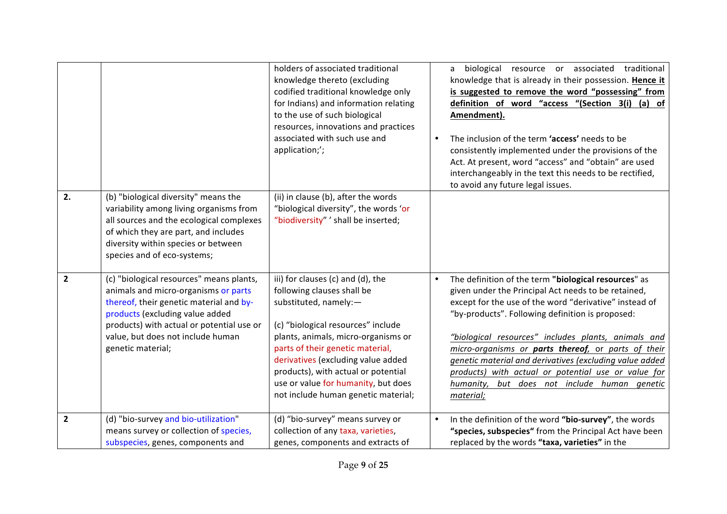|              |                                                                                                                                                                                                                                                                       | holders of associated traditional<br>knowledge thereto (excluding<br>codified traditional knowledge only<br>for Indians) and information relating<br>to the use of such biological<br>resources, innovations and practices<br>associated with such use and<br>application;';                                                                                         | $\bullet$ | biological resource or associated traditional<br>a<br>knowledge that is already in their possession. Hence it<br>is suggested to remove the word "possessing" from<br>definition of word "access "(Section 3(i) (a) of<br>Amendment).<br>The inclusion of the term 'access' needs to be<br>consistently implemented under the provisions of the<br>Act. At present, word "access" and "obtain" are used<br>interchangeably in the text this needs to be rectified,<br>to avoid any future legal issues.                   |
|--------------|-----------------------------------------------------------------------------------------------------------------------------------------------------------------------------------------------------------------------------------------------------------------------|----------------------------------------------------------------------------------------------------------------------------------------------------------------------------------------------------------------------------------------------------------------------------------------------------------------------------------------------------------------------|-----------|---------------------------------------------------------------------------------------------------------------------------------------------------------------------------------------------------------------------------------------------------------------------------------------------------------------------------------------------------------------------------------------------------------------------------------------------------------------------------------------------------------------------------|
| 2.           | (b) "biological diversity" means the<br>variability among living organisms from<br>all sources and the ecological complexes<br>of which they are part, and includes<br>diversity within species or between<br>species and of eco-systems;                             | (ii) in clause (b), after the words<br>"biological diversity", the words 'or<br>"biodiversity" ' shall be inserted;                                                                                                                                                                                                                                                  |           |                                                                                                                                                                                                                                                                                                                                                                                                                                                                                                                           |
| $\mathbf{2}$ | (c) "biological resources" means plants,<br>animals and micro-organisms or parts<br>thereof, their genetic material and by-<br>products (excluding value added<br>products) with actual or potential use or<br>value, but does not include human<br>genetic material; | iii) for clauses (c) and (d), the<br>following clauses shall be<br>substituted, namely:-<br>(c) "biological resources" include<br>plants, animals, micro-organisms or<br>parts of their genetic material,<br>derivatives (excluding value added<br>products), with actual or potential<br>use or value for humanity, but does<br>not include human genetic material; | $\bullet$ | The definition of the term "biological resources" as<br>given under the Principal Act needs to be retained,<br>except for the use of the word "derivative" instead of<br>"by-products". Following definition is proposed:<br>"biological resources" includes plants, animals and<br>micro-organisms or parts thereof, or parts of their<br>genetic material and derivatives (excluding value added<br>products) with actual or potential use or value for<br>humanity,<br>but does not include human genetic<br>material; |
| $\mathbf{2}$ | (d) "bio-survey and bio-utilization"<br>means survey or collection of species,<br>subspecies, genes, components and                                                                                                                                                   | (d) "bio-survey" means survey or<br>collection of any taxa, varieties,<br>genes, components and extracts of                                                                                                                                                                                                                                                          | $\bullet$ | In the definition of the word "bio-survey", the words<br>"species, subspecies" from the Principal Act have been<br>replaced by the words "taxa, varieties" in the                                                                                                                                                                                                                                                                                                                                                         |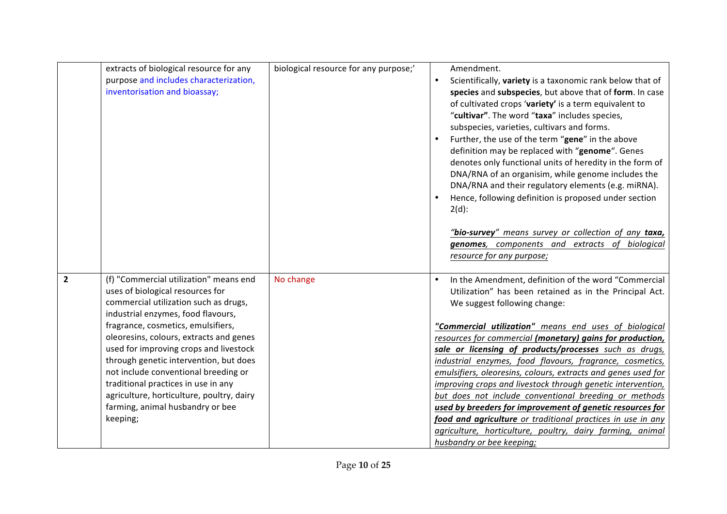|              | extracts of biological resource for any<br>purpose and includes characterization,<br>inventorisation and bioassay;                                                                                                                                                                                                                                                                                                                                                                                         | biological resource for any purpose;' | Amendment.<br>$\bullet$<br>Scientifically, variety is a taxonomic rank below that of<br>species and subspecies, but above that of form. In case<br>of cultivated crops 'variety' is a term equivalent to<br>"cultivar". The word "taxa" includes species,<br>subspecies, varieties, cultivars and forms.<br>Further, the use of the term "gene" in the above<br>definition may be replaced with "genome". Genes<br>denotes only functional units of heredity in the form of<br>DNA/RNA of an organisim, while genome includes the                                                                                                                                                                                                                                                                                       |
|--------------|------------------------------------------------------------------------------------------------------------------------------------------------------------------------------------------------------------------------------------------------------------------------------------------------------------------------------------------------------------------------------------------------------------------------------------------------------------------------------------------------------------|---------------------------------------|-------------------------------------------------------------------------------------------------------------------------------------------------------------------------------------------------------------------------------------------------------------------------------------------------------------------------------------------------------------------------------------------------------------------------------------------------------------------------------------------------------------------------------------------------------------------------------------------------------------------------------------------------------------------------------------------------------------------------------------------------------------------------------------------------------------------------|
|              |                                                                                                                                                                                                                                                                                                                                                                                                                                                                                                            |                                       | DNA/RNA and their regulatory elements (e.g. miRNA).<br>Hence, following definition is proposed under section<br>$2(d)$ :<br>"bio-survey" means survey or collection of any taxa,<br>genomes, components and extracts of biological<br>resource for any purpose;                                                                                                                                                                                                                                                                                                                                                                                                                                                                                                                                                         |
| $\mathbf{2}$ | (f) "Commercial utilization" means end<br>uses of biological resources for<br>commercial utilization such as drugs,<br>industrial enzymes, food flavours,<br>fragrance, cosmetics, emulsifiers,<br>oleoresins, colours, extracts and genes<br>used for improving crops and livestock<br>through genetic intervention, but does<br>not include conventional breeding or<br>traditional practices in use in any<br>agriculture, horticulture, poultry, dairy<br>farming, animal husbandry or bee<br>keeping; | No change                             | In the Amendment, definition of the word "Commercial<br>$\bullet$<br>Utilization" has been retained as in the Principal Act.<br>We suggest following change:<br>"Commercial utilization" means end uses of biological<br>resources for commercial (monetary) gains for production,<br>sale or licensing of products/processes such as drugs,<br>industrial enzymes, food flavours, fragrance, cosmetics,<br>emulsifiers, oleoresins, colours, extracts and genes used for<br>improving crops and livestock through genetic intervention,<br>but does not include conventional breeding or methods<br>used by breeders for improvement of genetic resources for<br>food and agriculture or traditional practices in use in any<br>agriculture, horticulture, poultry, dairy farming, animal<br>husbandry or bee keeping; |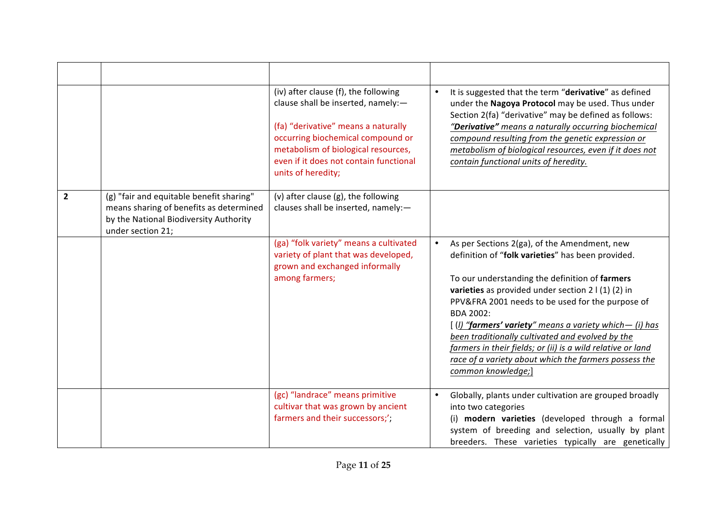|              |                                                                                                                                                    | (iv) after clause (f), the following<br>clause shall be inserted, namely:-<br>(fa) "derivative" means a naturally<br>occurring biochemical compound or<br>metabolism of biological resources,<br>even if it does not contain functional<br>units of heredity; | It is suggested that the term "derivative" as defined<br>$\bullet$<br>under the Nagoya Protocol may be used. Thus under<br>Section 2(fa) "derivative" may be defined as follows:<br>"Derivative" means a naturally occurring biochemical<br>compound resulting from the genetic expression or<br>metabolism of biological resources, even if it does not<br>contain functional units of heredity.                                                                                                                                                                 |
|--------------|----------------------------------------------------------------------------------------------------------------------------------------------------|---------------------------------------------------------------------------------------------------------------------------------------------------------------------------------------------------------------------------------------------------------------|-------------------------------------------------------------------------------------------------------------------------------------------------------------------------------------------------------------------------------------------------------------------------------------------------------------------------------------------------------------------------------------------------------------------------------------------------------------------------------------------------------------------------------------------------------------------|
| $\mathbf{2}$ | (g) "fair and equitable benefit sharing"<br>means sharing of benefits as determined<br>by the National Biodiversity Authority<br>under section 21; | (v) after clause (g), the following<br>clauses shall be inserted, namely:-                                                                                                                                                                                    |                                                                                                                                                                                                                                                                                                                                                                                                                                                                                                                                                                   |
|              |                                                                                                                                                    | (ga) "folk variety" means a cultivated<br>variety of plant that was developed,<br>grown and exchanged informally<br>among farmers;                                                                                                                            | As per Sections 2(ga), of the Amendment, new<br>$\bullet$<br>definition of "folk varieties" has been provided.<br>To our understanding the definition of farmers<br>varieties as provided under section $2   (1) (2)$ in<br>PPV&FRA 2001 needs to be used for the purpose of<br><b>BDA 2002:</b><br>$[ (I)$ "farmers' variety" means a variety which- $(i)$ has<br>been traditionally cultivated and evolved by the<br>farmers in their fields; or (ii) is a wild relative or land<br>race of a variety about which the farmers possess the<br>common knowledge;] |
|              |                                                                                                                                                    | (gc) "landrace" means primitive<br>cultivar that was grown by ancient<br>farmers and their successors;';                                                                                                                                                      | Globally, plants under cultivation are grouped broadly<br>$\bullet$<br>into two categories<br>(i) modern varieties (developed through a formal<br>system of breeding and selection, usually by plant<br>breeders. These varieties typically are genetically                                                                                                                                                                                                                                                                                                       |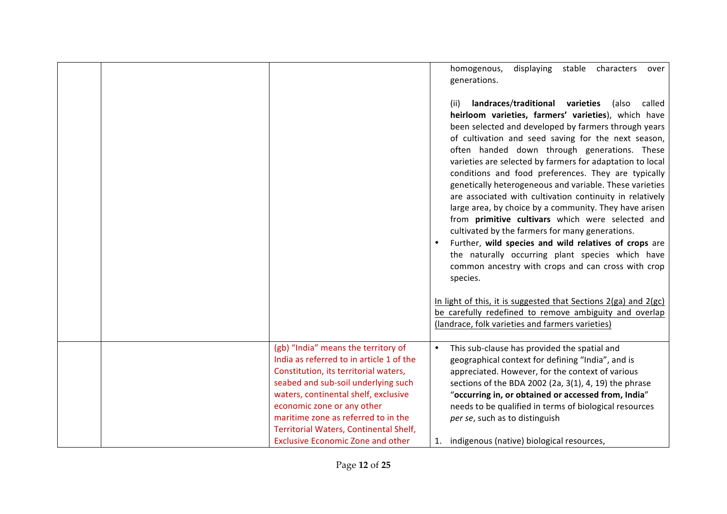|                                                                                                                                                                                                                                                                                                                                                                    | homogenous,<br>displaying<br>stable<br>characters<br>over<br>generations.<br>landraces/traditional varieties<br>(also<br>called<br>(ii)<br>heirloom varieties, farmers' varieties), which have<br>been selected and developed by farmers through years<br>of cultivation and seed saving for the next season,<br>often handed down through generations. These<br>varieties are selected by farmers for adaptation to local<br>conditions and food preferences. They are typically<br>genetically heterogeneous and variable. These varieties<br>are associated with cultivation continuity in relatively<br>large area, by choice by a community. They have arisen<br>from primitive cultivars which were selected and<br>cultivated by the farmers for many generations.<br>Further, wild species and wild relatives of crops are<br>the naturally occurring plant species which have<br>common ancestry with crops and can cross with crop<br>species.<br>In light of this, it is suggested that Sections 2(ga) and 2(gc)<br>be carefully redefined to remove ambiguity and overlap<br>(landrace, folk varieties and farmers varieties) |
|--------------------------------------------------------------------------------------------------------------------------------------------------------------------------------------------------------------------------------------------------------------------------------------------------------------------------------------------------------------------|-------------------------------------------------------------------------------------------------------------------------------------------------------------------------------------------------------------------------------------------------------------------------------------------------------------------------------------------------------------------------------------------------------------------------------------------------------------------------------------------------------------------------------------------------------------------------------------------------------------------------------------------------------------------------------------------------------------------------------------------------------------------------------------------------------------------------------------------------------------------------------------------------------------------------------------------------------------------------------------------------------------------------------------------------------------------------------------------------------------------------------------------|
| (gb) "India" means the territory of<br>India as referred to in article 1 of the<br>Constitution, its territorial waters,<br>seabed and sub-soil underlying such<br>waters, continental shelf, exclusive<br>economic zone or any other<br>maritime zone as referred to in the<br>Territorial Waters, Continental Shelf,<br><b>Exclusive Economic Zone and other</b> | This sub-clause has provided the spatial and<br>$\bullet$<br>geographical context for defining "India", and is<br>appreciated. However, for the context of various<br>sections of the BDA 2002 (2a, 3(1), 4, 19) the phrase<br>"occurring in, or obtained or accessed from, India"<br>needs to be qualified in terms of biological resources<br>per se, such as to distinguish<br>indigenous (native) biological resources,<br>1.                                                                                                                                                                                                                                                                                                                                                                                                                                                                                                                                                                                                                                                                                                         |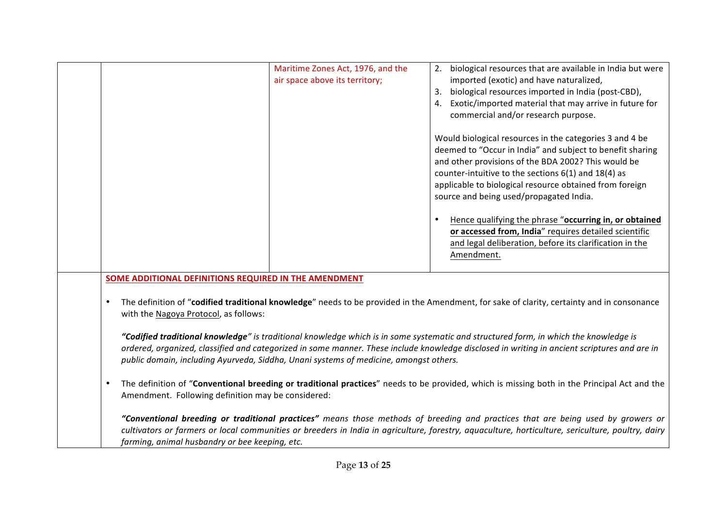|                                                                                                                                                      | Maritime Zones Act, 1976, and the<br>air space above its territory;                   | biological resources that are available in India but were<br>2.<br>imported (exotic) and have naturalized,<br>biological resources imported in India (post-CBD),<br>3.<br>Exotic/imported material that may arrive in future for<br>4.<br>commercial and/or research purpose.<br>Would biological resources in the categories 3 and 4 be<br>deemed to "Occur in India" and subject to benefit sharing<br>and other provisions of the BDA 2002? This would be<br>counter-intuitive to the sections $6(1)$ and $18(4)$ as<br>applicable to biological resource obtained from foreign<br>source and being used/propagated India.<br>Hence qualifying the phrase "occurring in, or obtained<br>$\bullet$<br>or accessed from, India" requires detailed scientific<br>and legal deliberation, before its clarification in the<br>Amendment.                                     |
|------------------------------------------------------------------------------------------------------------------------------------------------------|---------------------------------------------------------------------------------------|----------------------------------------------------------------------------------------------------------------------------------------------------------------------------------------------------------------------------------------------------------------------------------------------------------------------------------------------------------------------------------------------------------------------------------------------------------------------------------------------------------------------------------------------------------------------------------------------------------------------------------------------------------------------------------------------------------------------------------------------------------------------------------------------------------------------------------------------------------------------------|
| SOME ADDITIONAL DEFINITIONS REQUIRED IN THE AMENDMENT<br>with the Nagoya Protocol, as follows:<br>Amendment. Following definition may be considered: | public domain, including Ayurveda, Siddha, Unani systems of medicine, amongst others. | The definition of "codified traditional knowledge" needs to be provided in the Amendment, for sake of clarity, certainty and in consonance<br>"Codified traditional knowledge" is traditional knowledge which is in some systematic and structured form, in which the knowledge is<br>ordered, organized, classified and categorized in some manner. These include knowledge disclosed in writing in ancient scriptures and are in<br>The definition of "Conventional breeding or traditional practices" needs to be provided, which is missing both in the Principal Act and the<br>"Conventional breeding or traditional practices" means those methods of breeding and practices that are being used by growers or<br>cultivators or farmers or local communities or breeders in India in agriculture, forestry, aquaculture, horticulture, sericulture, poultry, dairy |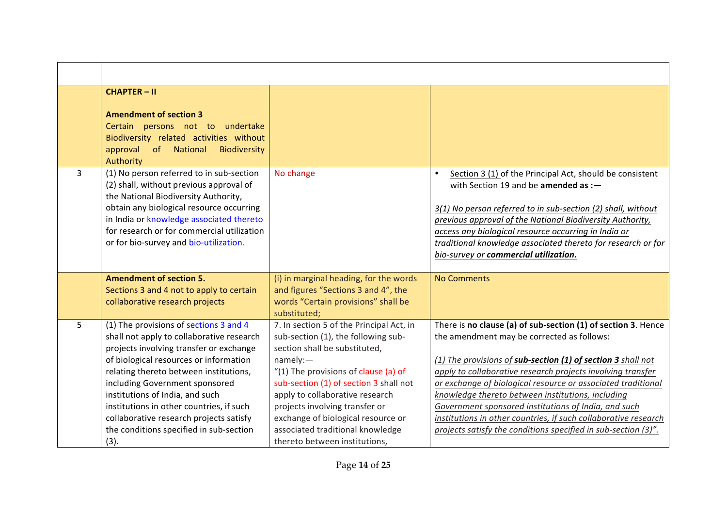|                | <b>CHAPTER-II</b><br><b>Amendment of section 3</b><br>Certain persons not to undertake<br>Biodiversity related activities without<br>approval of National<br><b>Biodiversity</b><br>Authority                                                                                                                                                                                                                                     |                                                                                                                                                                                                                                                                                                                                                                                               |                                                                                                                                                                                                                                                                                                                                                                                                                                                                                                                                                              |
|----------------|-----------------------------------------------------------------------------------------------------------------------------------------------------------------------------------------------------------------------------------------------------------------------------------------------------------------------------------------------------------------------------------------------------------------------------------|-----------------------------------------------------------------------------------------------------------------------------------------------------------------------------------------------------------------------------------------------------------------------------------------------------------------------------------------------------------------------------------------------|--------------------------------------------------------------------------------------------------------------------------------------------------------------------------------------------------------------------------------------------------------------------------------------------------------------------------------------------------------------------------------------------------------------------------------------------------------------------------------------------------------------------------------------------------------------|
| $\overline{3}$ | (1) No person referred to in sub-section<br>(2) shall, without previous approval of<br>the National Biodiversity Authority,<br>obtain any biological resource occurring<br>in India or knowledge associated thereto<br>for research or for commercial utilization<br>or for bio-survey and bio-utilization.                                                                                                                       | No change                                                                                                                                                                                                                                                                                                                                                                                     | Section 3 (1) of the Principal Act, should be consistent<br>$\bullet$<br>with Section 19 and be amended as :-<br>3(1) No person referred to in sub-section (2) shall, without<br>previous approval of the National Biodiversity Authority,<br>access any biological resource occurring in India or<br>traditional knowledge associated thereto for research or for<br>bio-survey or commercial utilization.                                                                                                                                                  |
|                | <b>Amendment of section 5.</b><br>Sections 3 and 4 not to apply to certain<br>collaborative research projects                                                                                                                                                                                                                                                                                                                     | (i) in marginal heading, for the words<br>and figures "Sections 3 and 4", the<br>words "Certain provisions" shall be<br>substituted;                                                                                                                                                                                                                                                          | <b>No Comments</b>                                                                                                                                                                                                                                                                                                                                                                                                                                                                                                                                           |
| 5              | (1) The provisions of sections 3 and 4<br>shall not apply to collaborative research<br>projects involving transfer or exchange<br>of biological resources or information<br>relating thereto between institutions,<br>including Government sponsored<br>institutions of India, and such<br>institutions in other countries, if such<br>collaborative research projects satisfy<br>the conditions specified in sub-section<br>(3). | 7. In section 5 of the Principal Act, in<br>sub-section (1), the following sub-<br>section shall be substituted,<br>namely:<br>"(1) The provisions of clause (a) of<br>sub-section (1) of section 3 shall not<br>apply to collaborative research<br>projects involving transfer or<br>exchange of biological resource or<br>associated traditional knowledge<br>thereto between institutions, | There is no clause (a) of sub-section (1) of section 3. Hence<br>the amendment may be corrected as follows:<br>(1) The provisions of sub-section (1) of section 3 shall not<br>apply to collaborative research projects involving transfer<br>or exchange of biological resource or associated traditional<br>knowledge thereto between institutions, including<br>Government sponsored institutions of India, and such<br>institutions in other countries, if such collaborative research<br>projects satisfy the conditions specified in sub-section (3)". |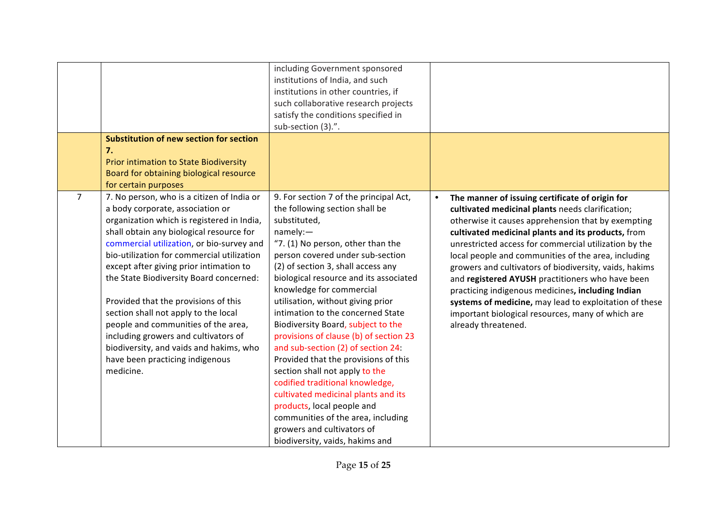|                |                                                                                                                                                                                                                                                                                                                                                                                                                                                                                                                                                                                                                     | including Government sponsored<br>institutions of India, and such<br>institutions in other countries, if<br>such collaborative research projects<br>satisfy the conditions specified in<br>sub-section (3).".                                                                                                                                                                                                                                                                                                                                                                                                                                                                                                                                                                     |                                                                                                                                                                                                                                                                                                                                                                                                                                                                                                                                                                                                                                                       |
|----------------|---------------------------------------------------------------------------------------------------------------------------------------------------------------------------------------------------------------------------------------------------------------------------------------------------------------------------------------------------------------------------------------------------------------------------------------------------------------------------------------------------------------------------------------------------------------------------------------------------------------------|-----------------------------------------------------------------------------------------------------------------------------------------------------------------------------------------------------------------------------------------------------------------------------------------------------------------------------------------------------------------------------------------------------------------------------------------------------------------------------------------------------------------------------------------------------------------------------------------------------------------------------------------------------------------------------------------------------------------------------------------------------------------------------------|-------------------------------------------------------------------------------------------------------------------------------------------------------------------------------------------------------------------------------------------------------------------------------------------------------------------------------------------------------------------------------------------------------------------------------------------------------------------------------------------------------------------------------------------------------------------------------------------------------------------------------------------------------|
|                | <b>Substitution of new section for section</b><br>7.<br>Prior intimation to State Biodiversity<br>Board for obtaining biological resource<br>for certain purposes                                                                                                                                                                                                                                                                                                                                                                                                                                                   |                                                                                                                                                                                                                                                                                                                                                                                                                                                                                                                                                                                                                                                                                                                                                                                   |                                                                                                                                                                                                                                                                                                                                                                                                                                                                                                                                                                                                                                                       |
| $\overline{7}$ | 7. No person, who is a citizen of India or<br>a body corporate, association or<br>organization which is registered in India,<br>shall obtain any biological resource for<br>commercial utilization, or bio-survey and<br>bio-utilization for commercial utilization<br>except after giving prior intimation to<br>the State Biodiversity Board concerned:<br>Provided that the provisions of this<br>section shall not apply to the local<br>people and communities of the area,<br>including growers and cultivators of<br>biodiversity, and vaids and hakims, who<br>have been practicing indigenous<br>medicine. | 9. For section 7 of the principal Act,<br>the following section shall be<br>substituted,<br>namely:<br>"7. (1) No person, other than the<br>person covered under sub-section<br>(2) of section 3, shall access any<br>biological resource and its associated<br>knowledge for commercial<br>utilisation, without giving prior<br>intimation to the concerned State<br>Biodiversity Board, subject to the<br>provisions of clause (b) of section 23<br>and sub-section (2) of section 24:<br>Provided that the provisions of this<br>section shall not apply to the<br>codified traditional knowledge,<br>cultivated medicinal plants and its<br>products, local people and<br>communities of the area, including<br>growers and cultivators of<br>biodiversity, vaids, hakims and | The manner of issuing certificate of origin for<br>$\bullet$<br>cultivated medicinal plants needs clarification;<br>otherwise it causes apprehension that by exempting<br>cultivated medicinal plants and its products, from<br>unrestricted access for commercial utilization by the<br>local people and communities of the area, including<br>growers and cultivators of biodiversity, vaids, hakims<br>and registered AYUSH practitioners who have been<br>practicing indigenous medicines, including Indian<br>systems of medicine, may lead to exploitation of these<br>important biological resources, many of which are<br>already threatened. |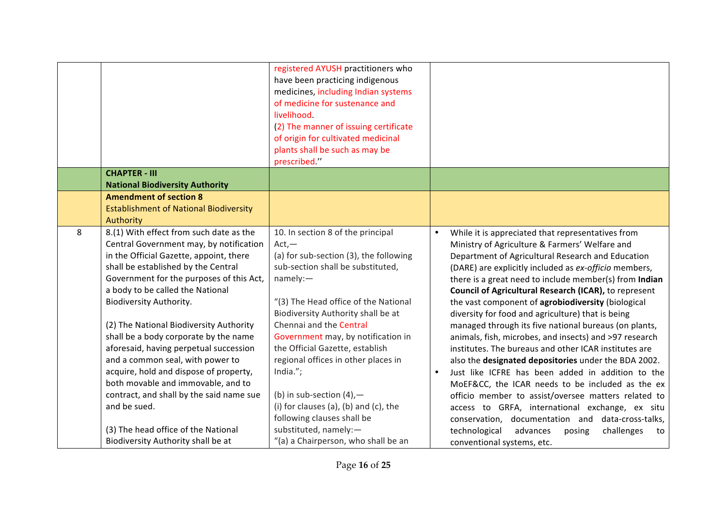|   |                                                                                | registered AYUSH practitioners who<br>have been practicing indigenous<br>medicines, including Indian systems<br>of medicine for sustenance and<br>livelihood.<br>(2) The manner of issuing certificate<br>of origin for cultivated medicinal<br>plants shall be such as may be<br>prescribed." |           |                                                                                                        |
|---|--------------------------------------------------------------------------------|------------------------------------------------------------------------------------------------------------------------------------------------------------------------------------------------------------------------------------------------------------------------------------------------|-----------|--------------------------------------------------------------------------------------------------------|
|   | <b>CHAPTER - III</b>                                                           |                                                                                                                                                                                                                                                                                                |           |                                                                                                        |
|   | <b>National Biodiversity Authority</b>                                         |                                                                                                                                                                                                                                                                                                |           |                                                                                                        |
|   | <b>Amendment of section 8</b>                                                  |                                                                                                                                                                                                                                                                                                |           |                                                                                                        |
|   | <b>Establishment of National Biodiversity</b><br>Authority                     |                                                                                                                                                                                                                                                                                                |           |                                                                                                        |
| 8 | 8.(1) With effect from such date as the                                        | 10. In section 8 of the principal                                                                                                                                                                                                                                                              | $\bullet$ | While it is appreciated that representatives from                                                      |
|   | Central Government may, by notification                                        | $Act. -$                                                                                                                                                                                                                                                                                       |           | Ministry of Agriculture & Farmers' Welfare and                                                         |
|   | in the Official Gazette, appoint, there                                        | (a) for sub-section (3), the following                                                                                                                                                                                                                                                         |           | Department of Agricultural Research and Education                                                      |
|   | shall be established by the Central                                            | sub-section shall be substituted,                                                                                                                                                                                                                                                              |           | (DARE) are explicitly included as ex-officio members,                                                  |
|   | Government for the purposes of this Act,                                       | namely:                                                                                                                                                                                                                                                                                        |           | there is a great need to include member(s) from Indian                                                 |
|   | a body to be called the National                                               |                                                                                                                                                                                                                                                                                                |           | Council of Agricultural Research (ICAR), to represent                                                  |
|   | Biodiversity Authority.                                                        | "(3) The Head office of the National                                                                                                                                                                                                                                                           |           | the vast component of agrobiodiversity (biological                                                     |
|   |                                                                                | Biodiversity Authority shall be at                                                                                                                                                                                                                                                             |           | diversity for food and agriculture) that is being                                                      |
|   | (2) The National Biodiversity Authority                                        | Chennai and the Central                                                                                                                                                                                                                                                                        |           | managed through its five national bureaus (on plants,                                                  |
|   | shall be a body corporate by the name                                          | Government may, by notification in                                                                                                                                                                                                                                                             |           | animals, fish, microbes, and insects) and >97 research                                                 |
|   | aforesaid, having perpetual succession                                         | the Official Gazette, establish                                                                                                                                                                                                                                                                |           | institutes. The bureaus and other ICAR institutes are                                                  |
|   | and a common seal, with power to                                               | regional offices in other places in                                                                                                                                                                                                                                                            |           | also the designated depositories under the BDA 2002.                                                   |
|   | acquire, hold and dispose of property,                                         | India.";                                                                                                                                                                                                                                                                                       | $\bullet$ | Just like ICFRE has been added in addition to the                                                      |
|   | both movable and immovable, and to<br>contract, and shall by the said name sue | (b) in sub-section $(4)$ , -                                                                                                                                                                                                                                                                   |           | MoEF&CC, the ICAR needs to be included as the ex                                                       |
|   | and be sued.                                                                   | (i) for clauses (a), (b) and (c), the                                                                                                                                                                                                                                                          |           | officio member to assist/oversee matters related to<br>access to GRFA, international exchange, ex situ |
|   |                                                                                | following clauses shall be                                                                                                                                                                                                                                                                     |           | conservation, documentation and data-cross-talks,                                                      |
|   | (3) The head office of the National                                            | substituted, namely:-                                                                                                                                                                                                                                                                          |           | technological<br>advances<br>challenges<br>posing<br>to                                                |
|   | Biodiversity Authority shall be at                                             | "(a) a Chairperson, who shall be an                                                                                                                                                                                                                                                            |           | conventional systems, etc.                                                                             |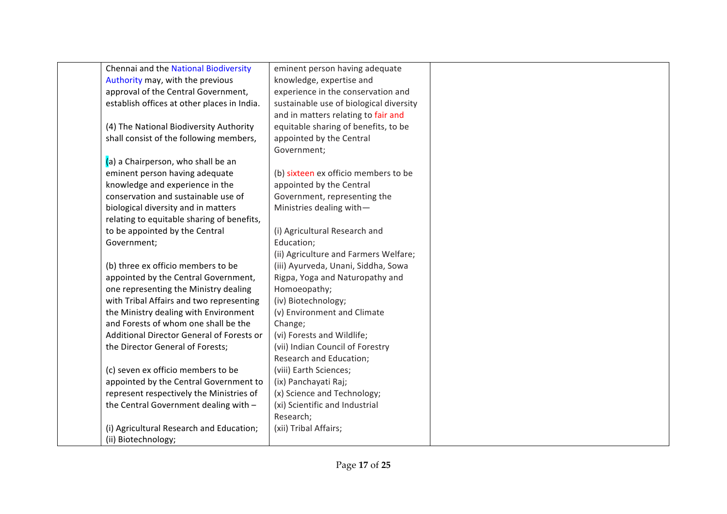| Chennai and the National Biodiversity       | eminent person having adequate          |  |
|---------------------------------------------|-----------------------------------------|--|
| Authority may, with the previous            | knowledge, expertise and                |  |
| approval of the Central Government,         | experience in the conservation and      |  |
| establish offices at other places in India. | sustainable use of biological diversity |  |
|                                             | and in matters relating to fair and     |  |
| (4) The National Biodiversity Authority     | equitable sharing of benefits, to be    |  |
| shall consist of the following members,     | appointed by the Central                |  |
|                                             | Government;                             |  |
| (a) a Chairperson, who shall be an          |                                         |  |
| eminent person having adequate              | (b) sixteen ex officio members to be    |  |
| knowledge and experience in the             | appointed by the Central                |  |
| conservation and sustainable use of         | Government, representing the            |  |
| biological diversity and in matters         | Ministries dealing with-                |  |
| relating to equitable sharing of benefits,  |                                         |  |
| to be appointed by the Central              | (i) Agricultural Research and           |  |
| Government;                                 | Education;                              |  |
|                                             | (ii) Agriculture and Farmers Welfare;   |  |
| (b) three ex officio members to be          | (iii) Ayurveda, Unani, Siddha, Sowa     |  |
| appointed by the Central Government,        | Rigpa, Yoga and Naturopathy and         |  |
| one representing the Ministry dealing       | Homoeopathy;                            |  |
| with Tribal Affairs and two representing    | (iv) Biotechnology;                     |  |
| the Ministry dealing with Environment       | (v) Environment and Climate             |  |
| and Forests of whom one shall be the        | Change;                                 |  |
| Additional Director General of Forests or   | (vi) Forests and Wildlife;              |  |
| the Director General of Forests;            | (vii) Indian Council of Forestry        |  |
|                                             | Research and Education;                 |  |
| (c) seven ex officio members to be          | (viii) Earth Sciences;                  |  |
| appointed by the Central Government to      | (ix) Panchayati Raj;                    |  |
| represent respectively the Ministries of    | (x) Science and Technology;             |  |
| the Central Government dealing with -       | (xi) Scientific and Industrial          |  |
|                                             | Research;                               |  |
| (i) Agricultural Research and Education;    | (xii) Tribal Affairs;                   |  |
| (ii) Biotechnology;                         |                                         |  |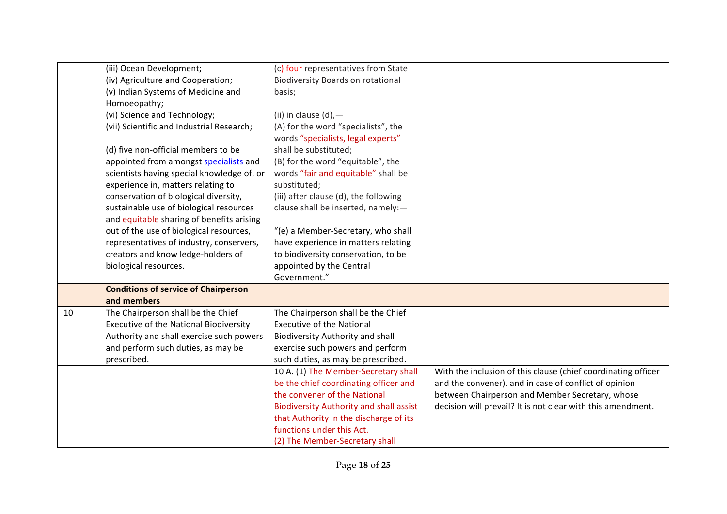|    | (iii) Ocean Development;                    | (c) four representatives from State            |                                                               |
|----|---------------------------------------------|------------------------------------------------|---------------------------------------------------------------|
|    | (iv) Agriculture and Cooperation;           | <b>Biodiversity Boards on rotational</b>       |                                                               |
|    | (v) Indian Systems of Medicine and          | basis;                                         |                                                               |
|    | Homoeopathy;                                |                                                |                                                               |
|    | (vi) Science and Technology;                | (ii) in clause $(d)$ , -                       |                                                               |
|    | (vii) Scientific and Industrial Research;   | (A) for the word "specialists", the            |                                                               |
|    |                                             | words "specialists, legal experts"             |                                                               |
|    | (d) five non-official members to be         | shall be substituted;                          |                                                               |
|    | appointed from amongst specialists and      | (B) for the word "equitable", the              |                                                               |
|    | scientists having special knowledge of, or  | words "fair and equitable" shall be            |                                                               |
|    | experience in, matters relating to          | substituted;                                   |                                                               |
|    | conservation of biological diversity,       | (iii) after clause (d), the following          |                                                               |
|    | sustainable use of biological resources     | clause shall be inserted, namely:-             |                                                               |
|    | and equitable sharing of benefits arising   |                                                |                                                               |
|    | out of the use of biological resources,     | "(e) a Member-Secretary, who shall             |                                                               |
|    | representatives of industry, conservers,    | have experience in matters relating            |                                                               |
|    | creators and know ledge-holders of          | to biodiversity conservation, to be            |                                                               |
|    | biological resources.                       | appointed by the Central                       |                                                               |
|    |                                             | Government."                                   |                                                               |
|    | <b>Conditions of service of Chairperson</b> |                                                |                                                               |
|    | and members                                 |                                                |                                                               |
| 10 | The Chairperson shall be the Chief          | The Chairperson shall be the Chief             |                                                               |
|    | Executive of the National Biodiversity      | <b>Executive of the National</b>               |                                                               |
|    | Authority and shall exercise such powers    | <b>Biodiversity Authority and shall</b>        |                                                               |
|    | and perform such duties, as may be          | exercise such powers and perform               |                                                               |
|    | prescribed.                                 | such duties, as may be prescribed.             |                                                               |
|    |                                             | 10 A. (1) The Member-Secretary shall           | With the inclusion of this clause (chief coordinating officer |
|    |                                             | be the chief coordinating officer and          | and the convener), and in case of conflict of opinion         |
|    |                                             | the convener of the National                   | between Chairperson and Member Secretary, whose               |
|    |                                             | <b>Biodiversity Authority and shall assist</b> | decision will prevail? It is not clear with this amendment.   |
|    |                                             | that Authority in the discharge of its         |                                                               |
|    |                                             | functions under this Act.                      |                                                               |
|    |                                             | (2) The Member-Secretary shall                 |                                                               |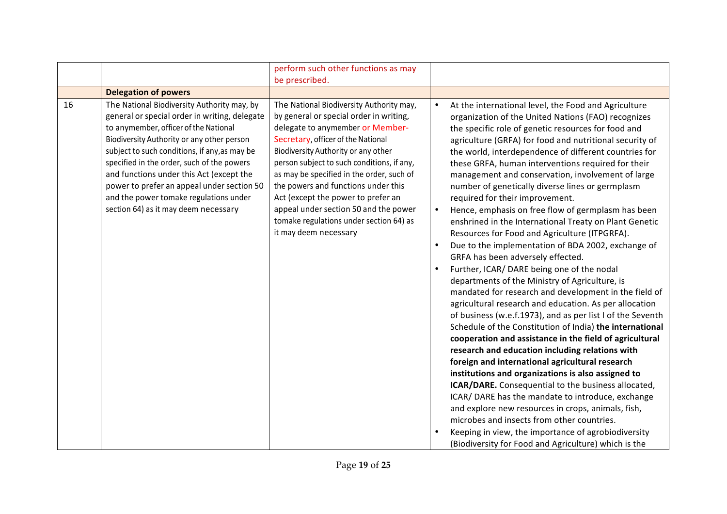|                                                                                                                                                                                                                                                                                                                                                                                                                                                                      | perform such other functions as may                                                                                                                                                                                                                                                                                                                                                                                                                                                       |                                                                                                                                                                                                                                                                                                                                                                                                                                                                                                                                                                                                                                                                                                                                                                                                                                                                                                                                                                                                                                                                                                                                                                                                                                                                                                                                                                                                                                                                                                                                                                                                                                                                                                                  |
|----------------------------------------------------------------------------------------------------------------------------------------------------------------------------------------------------------------------------------------------------------------------------------------------------------------------------------------------------------------------------------------------------------------------------------------------------------------------|-------------------------------------------------------------------------------------------------------------------------------------------------------------------------------------------------------------------------------------------------------------------------------------------------------------------------------------------------------------------------------------------------------------------------------------------------------------------------------------------|------------------------------------------------------------------------------------------------------------------------------------------------------------------------------------------------------------------------------------------------------------------------------------------------------------------------------------------------------------------------------------------------------------------------------------------------------------------------------------------------------------------------------------------------------------------------------------------------------------------------------------------------------------------------------------------------------------------------------------------------------------------------------------------------------------------------------------------------------------------------------------------------------------------------------------------------------------------------------------------------------------------------------------------------------------------------------------------------------------------------------------------------------------------------------------------------------------------------------------------------------------------------------------------------------------------------------------------------------------------------------------------------------------------------------------------------------------------------------------------------------------------------------------------------------------------------------------------------------------------------------------------------------------------------------------------------------------------|
|                                                                                                                                                                                                                                                                                                                                                                                                                                                                      | be prescribed.                                                                                                                                                                                                                                                                                                                                                                                                                                                                            |                                                                                                                                                                                                                                                                                                                                                                                                                                                                                                                                                                                                                                                                                                                                                                                                                                                                                                                                                                                                                                                                                                                                                                                                                                                                                                                                                                                                                                                                                                                                                                                                                                                                                                                  |
| <b>Delegation of powers</b>                                                                                                                                                                                                                                                                                                                                                                                                                                          |                                                                                                                                                                                                                                                                                                                                                                                                                                                                                           |                                                                                                                                                                                                                                                                                                                                                                                                                                                                                                                                                                                                                                                                                                                                                                                                                                                                                                                                                                                                                                                                                                                                                                                                                                                                                                                                                                                                                                                                                                                                                                                                                                                                                                                  |
| 16<br>The National Biodiversity Authority may, by<br>general or special order in writing, delegate<br>to anymember, officer of the National<br>Biodiversity Authority or any other person<br>subject to such conditions, if any, as may be<br>specified in the order, such of the powers<br>and functions under this Act (except the<br>power to prefer an appeal under section 50<br>and the power tomake regulations under<br>section 64) as it may deem necessary | The National Biodiversity Authority may,<br>by general or special order in writing,<br>delegate to anymember or Member-<br>Secretary, officer of the National<br>Biodiversity Authority or any other<br>person subject to such conditions, if any,<br>as may be specified in the order, such of<br>the powers and functions under this<br>Act (except the power to prefer an<br>appeal under section 50 and the power<br>tomake regulations under section 64) as<br>it may deem necessary | At the international level, the Food and Agriculture<br>$\bullet$<br>organization of the United Nations (FAO) recognizes<br>the specific role of genetic resources for food and<br>agriculture (GRFA) for food and nutritional security of<br>the world, interdependence of different countries for<br>these GRFA, human interventions required for their<br>management and conservation, involvement of large<br>number of genetically diverse lines or germplasm<br>required for their improvement.<br>Hence, emphasis on free flow of germplasm has been<br>$\bullet$<br>enshrined in the International Treaty on Plant Genetic<br>Resources for Food and Agriculture (ITPGRFA).<br>Due to the implementation of BDA 2002, exchange of<br>$\bullet$<br>GRFA has been adversely effected.<br>Further, ICAR/ DARE being one of the nodal<br>٠<br>departments of the Ministry of Agriculture, is<br>mandated for research and development in the field of<br>agricultural research and education. As per allocation<br>of business (w.e.f.1973), and as per list I of the Seventh<br>Schedule of the Constitution of India) the international<br>cooperation and assistance in the field of agricultural<br>research and education including relations with<br>foreign and international agricultural research<br>institutions and organizations is also assigned to<br>ICAR/DARE. Consequential to the business allocated,<br>ICAR/ DARE has the mandate to introduce, exchange<br>and explore new resources in crops, animals, fish,<br>microbes and insects from other countries.<br>Keeping in view, the importance of agrobiodiversity<br>$\bullet$<br>(Biodiversity for Food and Agriculture) which is the |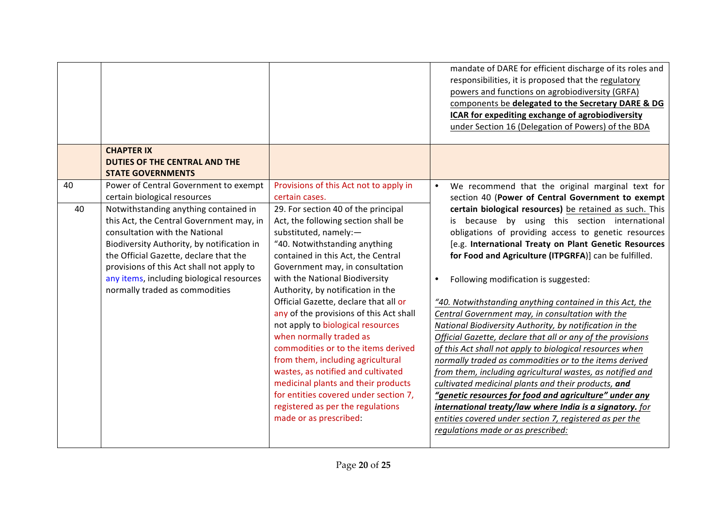|    |                                                                                                                                                                                                                                                                                                                                         |                                                                                                                                                                                                                                                                                                                                                                                                                                                                                                                                                                                                                                                                                                           | mandate of DARE for efficient discharge of its roles and<br>responsibilities, it is proposed that the regulatory<br>powers and functions on agrobiodiversity (GRFA)<br>components be delegated to the Secretary DARE & DG<br>ICAR for expediting exchange of agrobiodiversity<br>under Section 16 (Delegation of Powers) of the BDA                                                                                                                                                                                                                                                                                                                                                                                                                                                                                                                                                                                                                                                                                                    |
|----|-----------------------------------------------------------------------------------------------------------------------------------------------------------------------------------------------------------------------------------------------------------------------------------------------------------------------------------------|-----------------------------------------------------------------------------------------------------------------------------------------------------------------------------------------------------------------------------------------------------------------------------------------------------------------------------------------------------------------------------------------------------------------------------------------------------------------------------------------------------------------------------------------------------------------------------------------------------------------------------------------------------------------------------------------------------------|----------------------------------------------------------------------------------------------------------------------------------------------------------------------------------------------------------------------------------------------------------------------------------------------------------------------------------------------------------------------------------------------------------------------------------------------------------------------------------------------------------------------------------------------------------------------------------------------------------------------------------------------------------------------------------------------------------------------------------------------------------------------------------------------------------------------------------------------------------------------------------------------------------------------------------------------------------------------------------------------------------------------------------------|
|    | <b>CHAPTER IX</b><br><b>DUTIES OF THE CENTRAL AND THE</b>                                                                                                                                                                                                                                                                               |                                                                                                                                                                                                                                                                                                                                                                                                                                                                                                                                                                                                                                                                                                           |                                                                                                                                                                                                                                                                                                                                                                                                                                                                                                                                                                                                                                                                                                                                                                                                                                                                                                                                                                                                                                        |
|    | <b>STATE GOVERNMENTS</b>                                                                                                                                                                                                                                                                                                                |                                                                                                                                                                                                                                                                                                                                                                                                                                                                                                                                                                                                                                                                                                           |                                                                                                                                                                                                                                                                                                                                                                                                                                                                                                                                                                                                                                                                                                                                                                                                                                                                                                                                                                                                                                        |
| 40 | Power of Central Government to exempt<br>certain biological resources                                                                                                                                                                                                                                                                   | Provisions of this Act not to apply in<br>certain cases.                                                                                                                                                                                                                                                                                                                                                                                                                                                                                                                                                                                                                                                  | We recommend that the original marginal text for<br>$\bullet$<br>section 40 (Power of Central Government to exempt                                                                                                                                                                                                                                                                                                                                                                                                                                                                                                                                                                                                                                                                                                                                                                                                                                                                                                                     |
| 40 | Notwithstanding anything contained in<br>this Act, the Central Government may, in<br>consultation with the National<br>Biodiversity Authority, by notification in<br>the Official Gazette, declare that the<br>provisions of this Act shall not apply to<br>any items, including biological resources<br>normally traded as commodities | 29. For section 40 of the principal<br>Act, the following section shall be<br>substituted, namely:-<br>"40. Notwithstanding anything<br>contained in this Act, the Central<br>Government may, in consultation<br>with the National Biodiversity<br>Authority, by notification in the<br>Official Gazette, declare that all or<br>any of the provisions of this Act shall<br>not apply to biological resources<br>when normally traded as<br>commodities or to the items derived<br>from them, including agricultural<br>wastes, as notified and cultivated<br>medicinal plants and their products<br>for entities covered under section 7,<br>registered as per the regulations<br>made or as prescribed: | certain biological resources) be retained as such. This<br>is because by using this section international<br>obligations of providing access to genetic resources<br>[e.g. International Treaty on Plant Genetic Resources<br>for Food and Agriculture (ITPGRFA)] can be fulfilled.<br>Following modification is suggested:<br>"40. Notwithstanding anything contained in this Act, the<br>Central Government may, in consultation with the<br>National Biodiversity Authority, by notification in the<br>Official Gazette, declare that all or any of the provisions<br>of this Act shall not apply to biological resources when<br>normally traded as commodities or to the items derived<br>from them, including agricultural wastes, as notified and<br>cultivated medicinal plants and their products, and<br>"genetic resources for food and agriculture" under any<br>international treaty/law where India is a signatory. for<br>entities covered under section 7, registered as per the<br>regulations made or as prescribed: |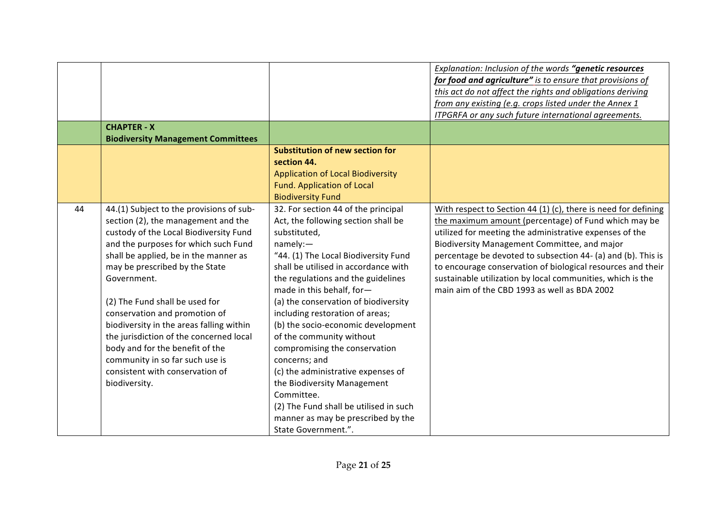|    | <b>CHAPTER - X</b>                                                                                                                                                                                                                                                                                                                                                                                                                                                                                                                              |                                                                                                                                                                                                                                                                                                                                                                                                                                                                                                                                                                                                                                                   | Explanation: Inclusion of the words "genetic resources<br>for food and agriculture" is to ensure that provisions of<br>this act do not affect the rights and obligations deriving<br>from any existing (e.g. crops listed under the Annex 1<br>ITPGRFA or any such future international agreements.                                                                                                                                                                            |
|----|-------------------------------------------------------------------------------------------------------------------------------------------------------------------------------------------------------------------------------------------------------------------------------------------------------------------------------------------------------------------------------------------------------------------------------------------------------------------------------------------------------------------------------------------------|---------------------------------------------------------------------------------------------------------------------------------------------------------------------------------------------------------------------------------------------------------------------------------------------------------------------------------------------------------------------------------------------------------------------------------------------------------------------------------------------------------------------------------------------------------------------------------------------------------------------------------------------------|--------------------------------------------------------------------------------------------------------------------------------------------------------------------------------------------------------------------------------------------------------------------------------------------------------------------------------------------------------------------------------------------------------------------------------------------------------------------------------|
|    | <b>Biodiversity Management Committees</b>                                                                                                                                                                                                                                                                                                                                                                                                                                                                                                       |                                                                                                                                                                                                                                                                                                                                                                                                                                                                                                                                                                                                                                                   |                                                                                                                                                                                                                                                                                                                                                                                                                                                                                |
|    |                                                                                                                                                                                                                                                                                                                                                                                                                                                                                                                                                 | <b>Substitution of new section for</b><br>section 44.<br><b>Application of Local Biodiversity</b><br><b>Fund. Application of Local</b><br><b>Biodiversity Fund</b>                                                                                                                                                                                                                                                                                                                                                                                                                                                                                |                                                                                                                                                                                                                                                                                                                                                                                                                                                                                |
| 44 | 44.(1) Subject to the provisions of sub-<br>section (2), the management and the<br>custody of the Local Biodiversity Fund<br>and the purposes for which such Fund<br>shall be applied, be in the manner as<br>may be prescribed by the State<br>Government.<br>(2) The Fund shall be used for<br>conservation and promotion of<br>biodiversity in the areas falling within<br>the jurisdiction of the concerned local<br>body and for the benefit of the<br>community in so far such use is<br>consistent with conservation of<br>biodiversity. | 32. For section 44 of the principal<br>Act, the following section shall be<br>substituted,<br>namely:<br>"44. (1) The Local Biodiversity Fund<br>shall be utilised in accordance with<br>the regulations and the guidelines<br>made in this behalf, for-<br>(a) the conservation of biodiversity<br>including restoration of areas;<br>(b) the socio-economic development<br>of the community without<br>compromising the conservation<br>concerns; and<br>(c) the administrative expenses of<br>the Biodiversity Management<br>Committee.<br>(2) The Fund shall be utilised in such<br>manner as may be prescribed by the<br>State Government.". | With respect to Section 44 (1) (c), there is need for defining<br>the maximum amount (percentage) of Fund which may be<br>utilized for meeting the administrative expenses of the<br>Biodiversity Management Committee, and major<br>percentage be devoted to subsection 44- (a) and (b). This is<br>to encourage conservation of biological resources and their<br>sustainable utilization by local communities, which is the<br>main aim of the CBD 1993 as well as BDA 2002 |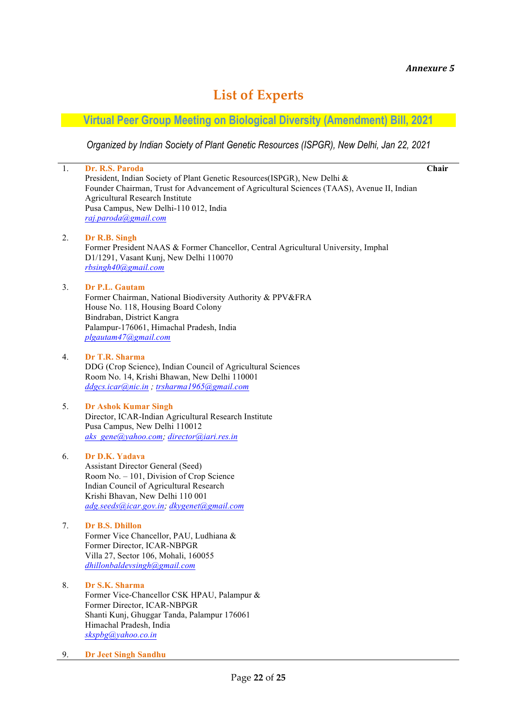# **List of Experts**

## **Virtual Peer Group Meeting on Biological Diversity (Amendment) Bill, 2021**

*Organized by Indian Society of Plant Genetic Resources (ISPGR), New Delhi, Jan 22, 2021*

| 1. | Dr. R.S. Paroda                                                                                                                                                        | Chair |
|----|------------------------------------------------------------------------------------------------------------------------------------------------------------------------|-------|
|    | President, Indian Society of Plant Genetic Resources(ISPGR), New Delhi &<br>Founder Chairman, Trust for Advancement of Agricultural Sciences (TAAS), Avenue II, Indian |       |
|    | Agricultural Research Institute                                                                                                                                        |       |
|    | Pusa Campus, New Delhi-110 012, India                                                                                                                                  |       |
|    | raj.paroda@gmail.com                                                                                                                                                   |       |
| 2. | Dr R.B. Singh                                                                                                                                                          |       |
|    | Former President NAAS & Former Chancellor, Central Agricultural University, Imphal<br>D1/1291, Vasant Kunj, New Delhi 110070                                           |       |
|    | rbsingh40@gmail.com                                                                                                                                                    |       |
| 3. | Dr P.L. Gautam                                                                                                                                                         |       |
|    | Former Chairman, National Biodiversity Authority & PPV&FRA                                                                                                             |       |
|    | House No. 118, Housing Board Colony<br>Bindraban, District Kangra                                                                                                      |       |
|    | Palampur-176061, Himachal Pradesh, India                                                                                                                               |       |
|    | plgautam47@gmail.com                                                                                                                                                   |       |
| 4. | Dr T.R. Sharma                                                                                                                                                         |       |
|    | DDG (Crop Science), Indian Council of Agricultural Sciences                                                                                                            |       |
|    | Room No. 14, Krishi Bhawan, New Delhi 110001<br>ddgcs.icar@nic.in; trsharma1965@gmail.com                                                                              |       |
|    |                                                                                                                                                                        |       |
| 5. | <b>Dr Ashok Kumar Singh</b><br>Director, ICAR-Indian Agricultural Research Institute                                                                                   |       |
|    | Pusa Campus, New Delhi 110012                                                                                                                                          |       |
|    | aks gene@yahoo.com; director@iari.res.in                                                                                                                               |       |
| 6. | Dr D.K. Yadava                                                                                                                                                         |       |
|    | <b>Assistant Director General (Seed)</b><br>Room No. - 101, Division of Crop Science                                                                                   |       |
|    | Indian Council of Agricultural Research                                                                                                                                |       |
|    | Krishi Bhavan, New Delhi 110 001<br>adg.seeds@icar.gov.in; dkygenet@gmail.com                                                                                          |       |
|    |                                                                                                                                                                        |       |
| 7. | Dr B.S. Dhillon<br>Former Vice Chancellor, PAU, Ludhiana &                                                                                                             |       |
|    | Former Director, ICAR-NBPGR                                                                                                                                            |       |
|    | Villa 27, Sector 106, Mohali, 160055                                                                                                                                   |       |
|    | dhillonbaldevsingh@gmail.com                                                                                                                                           |       |
| 8. | Dr S.K. Sharma                                                                                                                                                         |       |
|    | Former Vice-Chancellor CSK HPAU, Palampur &<br>Former Director, ICAR-NBPGR                                                                                             |       |
|    | Shanti Kunj, Ghuggar Tanda, Palampur 176061                                                                                                                            |       |
|    | Himachal Pradesh, India<br>skspbg@yahoo.co.in                                                                                                                          |       |
|    |                                                                                                                                                                        |       |
| 9. | <b>Dr Jeet Singh Sandhu</b>                                                                                                                                            |       |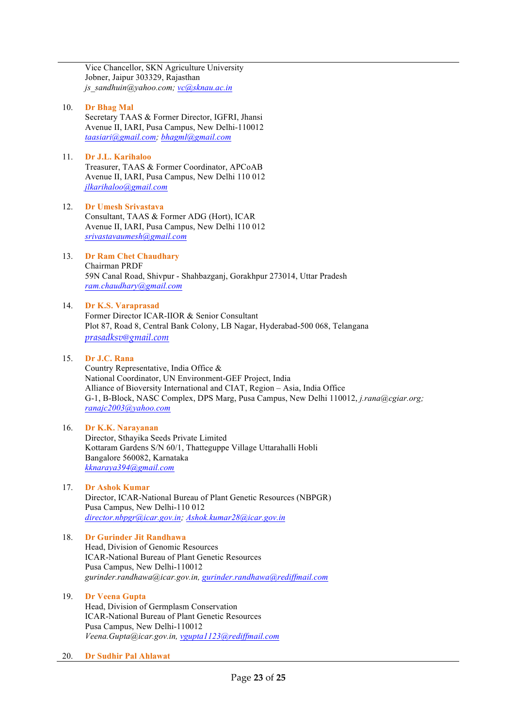Vice Chancellor, SKN Agriculture University Jobner, Jaipur 303329, Rajasthan *js\_sandhuin@yahoo.com; vc@sknau.ac.in*

#### 10. **Dr Bhag Mal**

Secretary TAAS & Former Director, IGFRI, Jhansi Avenue II, IARI, Pusa Campus, New Delhi-110012 *taasiari@gmail.com; bhagml@gmail.com*

#### 11. **Dr J.L. Karihaloo**

Treasurer, TAAS & Former Coordinator, APCoAB Avenue II, IARI, Pusa Campus, New Delhi 110 012 *jlkarihaloo@gmail.com*

### 12. **Dr Umesh Srivastava** Consultant, TAAS & Former ADG (Hort), ICAR

Avenue II, IARI, Pusa Campus, New Delhi 110 012 *srivastavaumesh@gmail.com*

#### 13. **Dr Ram Chet Chaudhary** Chairman PRDF 59N Canal Road, Shivpur - Shahbazganj, Gorakhpur 273014, Uttar Pradesh *ram.chaudhary@gmail.com*

#### 14. **Dr K.S. Varaprasad**

Former Director ICAR-IIOR & Senior Consultant Plot 87, Road 8, Central Bank Colony, LB Nagar, Hyderabad-500 068, Telangana *prasadksv@gmail.com*

#### 15. **Dr J.C. Rana**

Country Representative, India Office & National Coordinator, UN Environment-GEF Project, India Alliance of Bioversity International and CIAT, Region – Asia, India Office G-1, B-Block, NASC Complex, DPS Marg, Pusa Campus, New Delhi 110012, *j.rana@cgiar.org; ranajc2003@yahoo.com*

### 16. **Dr K.K. Narayanan**

Director, Sthayika Seeds Private Limited Kottaram Gardens S/N 60/1, Thatteguppe Village Uttarahalli Hobli Bangalore 560082, Karnataka *kknaraya394@gmail.com*

### 17. **Dr Ashok Kumar**

Director, ICAR-National Bureau of Plant Genetic Resources (NBPGR) Pusa Campus, New Delhi-110 012 *director.nbpgr@icar.gov.in; Ashok.kumar28@icar.gov.in*

### 18. **Dr Gurinder Jit Randhawa**

Head, Division of Genomic Resources ICAR-National Bureau of Plant Genetic Resources Pusa Campus, New Delhi-110012 *gurinder.randhawa@icar.gov.in, gurinder.randhawa@rediffmail.com*

### 19. **Dr Veena Gupta**

Head, Division of Germplasm Conservation ICAR-National Bureau of Plant Genetic Resources Pusa Campus, New Delhi-110012 *Veena.Gupta@icar.gov.in, vgupta1123@rediffmail.com*

#### 20. **Dr Sudhir Pal Ahlawat**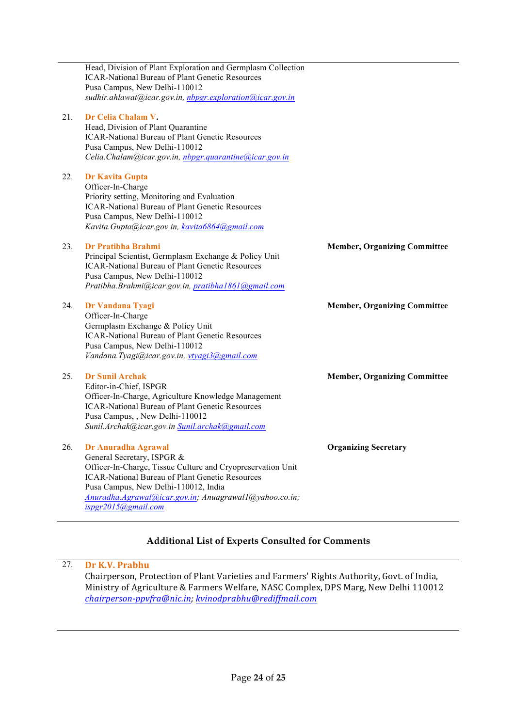|     | Head, Division of Plant Exploration and Germplasm Collection<br><b>ICAR-National Bureau of Plant Genetic Resources</b><br>Pusa Campus, New Delhi-110012<br>sudhir.ahlawat@icar.gov.in, nbpgr.exploration@icar.gov.in                                                                                     |                                     |
|-----|----------------------------------------------------------------------------------------------------------------------------------------------------------------------------------------------------------------------------------------------------------------------------------------------------------|-------------------------------------|
| 21. | Dr Celia Chalam V.<br>Head, Division of Plant Quarantine<br><b>ICAR-National Bureau of Plant Genetic Resources</b><br>Pusa Campus, New Delhi-110012<br>Celia.Chalam@icar.gov.in, nbpgr.quarantine@icar.gov.in                                                                                            |                                     |
| 22. | <b>Dr Kavita Gupta</b><br>Officer-In-Charge<br>Priority setting, Monitoring and Evaluation<br><b>ICAR-National Bureau of Plant Genetic Resources</b><br>Pusa Campus, New Delhi-110012<br>Kavita.Gupta@icar.gov.in, kavita6864@gmail.com                                                                  |                                     |
| 23. | Dr Pratibha Brahmi<br>Principal Scientist, Germplasm Exchange & Policy Unit<br><b>ICAR-National Bureau of Plant Genetic Resources</b><br>Pusa Campus, New Delhi-110012<br>Pratibha.Brahmi@icar.gov.in, pratibha1861@gmail.com                                                                            | <b>Member, Organizing Committee</b> |
| 24. | Dr Vandana Tyagi<br>Officer-In-Charge<br>Germplasm Exchange & Policy Unit<br><b>ICAR-National Bureau of Plant Genetic Resources</b><br>Pusa Campus, New Delhi-110012<br>Vandana. Tyagi@icar.gov.in, vtyagi3@gmail.com                                                                                    | <b>Member, Organizing Committee</b> |
| 25. | <b>Dr Sunil Archak</b><br>Editor-in-Chief, ISPGR<br>Officer-In-Charge, Agriculture Knowledge Management<br><b>ICAR-National Bureau of Plant Genetic Resources</b><br>Pusa Campus, , New Delhi-110012<br>Sunil.Archak@icar.gov.in Sunil.archak@gmail.com                                                  | <b>Member, Organizing Committee</b> |
| 26. | Dr Anuradha Agrawal<br>General Secretary, ISPGR &<br>Officer-In-Charge, Tissue Culture and Cryopreservation Unit<br><b>ICAR-National Bureau of Plant Genetic Resources</b><br>Pusa Campus, New Delhi-110012, India<br>Anuradha.Agrawal@icar.gov.in; Anuagrawal1@yahoo.co.in;<br>$ispgr2015$ (a)gmail.com | <b>Organizing Secretary</b>         |

### **Additional List of Experts Consulted for Comments**

### 27. **Dr K.V. Prabhu**

Chairperson, Protection of Plant Varieties and Farmers' Rights Authority, Govt. of India, Ministry of Agriculture & Farmers Welfare, NASC Complex, DPS Marg, New Delhi 110012 *chairperson-ppvfra@nic.in; kvinodprabhu@rediffmail.com*